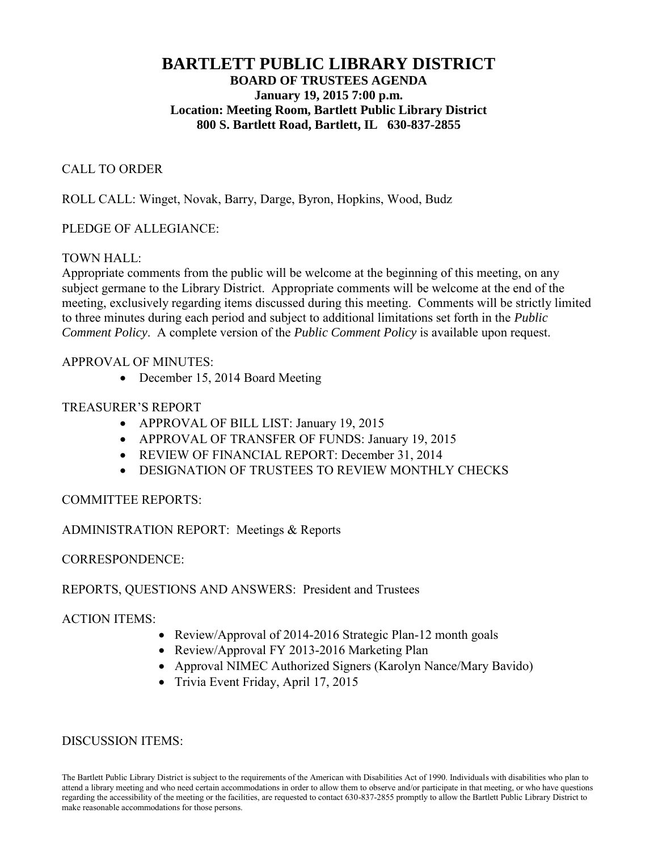# **BARTLETT PUBLIC LIBRARY DISTRICT BOARD OF TRUSTEES AGENDA January 19, 2015 7:00 p.m. Location: Meeting Room, Bartlett Public Library District 800 S. Bartlett Road, Bartlett, IL 630-837-2855**

## CALL TO ORDER

ROLL CALL: Winget, Novak, Barry, Darge, Byron, Hopkins, Wood, Budz

## PLEDGE OF ALLEGIANCE:

## TOWN HALL:

Appropriate comments from the public will be welcome at the beginning of this meeting, on any subject germane to the Library District. Appropriate comments will be welcome at the end of the meeting, exclusively regarding items discussed during this meeting. Comments will be strictly limited to three minutes during each period and subject to additional limitations set forth in the *Public Comment Policy*. A complete version of the *Public Comment Policy* is available upon request.

#### APPROVAL OF MINUTES:

• December 15, 2014 Board Meeting

## TREASURER'S REPORT

- APPROVAL OF BILL LIST: January 19, 2015
- APPROVAL OF TRANSFER OF FUNDS: January 19, 2015
- REVIEW OF FINANCIAL REPORT: December 31, 2014
- **DESIGNATION OF TRUSTEES TO REVIEW MONTHLY CHECKS**

## COMMITTEE REPORTS:

## ADMINISTRATION REPORT: Meetings & Reports

CORRESPONDENCE:

## REPORTS, QUESTIONS AND ANSWERS: President and Trustees

## ACTION ITEMS:

- Review/Approval of 2014-2016 Strategic Plan-12 month goals
- Review/Approval FY 2013-2016 Marketing Plan
- Approval NIMEC Authorized Signers (Karolyn Nance/Mary Bavido)
- Trivia Event Friday, April 17, 2015

#### DISCUSSION ITEMS:

The Bartlett Public Library District is subject to the requirements of the American with Disabilities Act of 1990. Individuals with disabilities who plan to attend a library meeting and who need certain accommodations in order to allow them to observe and/or participate in that meeting, or who have questions regarding the accessibility of the meeting or the facilities, are requested to contact 630-837-2855 promptly to allow the Bartlett Public Library District to make reasonable accommodations for those persons.